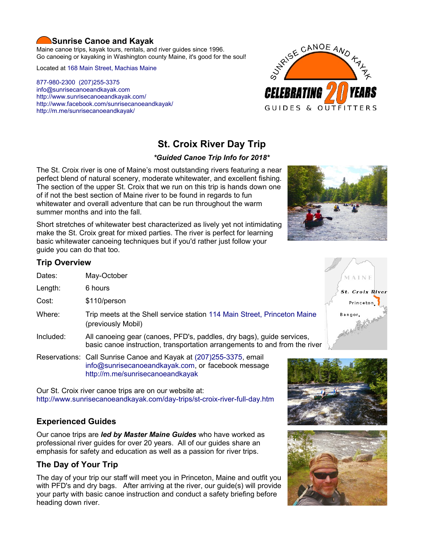## **Sunrise Canoe and Kayak**

Maine canoe trips, kayak tours, rentals, and river guides since 1996. Go canoeing or kayaking in Washington county Maine, it's good for the soul!

Located at [168 Main Street, Machias Maine](https://www.google.com/maps/place/Sunrise+Canoe+and+Kayak/@44.7213453,-67.4499306,520m/data=!3m2!1e3!4b1!4m5!3m4!1s0x4ca8cddc0180f8e7:0x696322ccd6ce6621!8m2!3d44.7213415!4d-67.4477419?hl=en)

[877-980-2300](tel:+1-877-980-2300) [\(207\)255-3375](tel:+1-207-255-3375) [info@sunrisecanoeandkayak.com](mailto:info@sunrisecanoeandkayak.com) <http://www.sunrisecanoeandkayak.com/> [http://www.facebook.com/sunrisecanoeandkayak/](https://www.facebook.com/sunrisecanoeandkayak/) <http://m.me/sunrisecanoeandkayak/>



# **St. Croix River Day Trip**

#### *\*Guided Canoe Trip Info for 2018\**

The St. Croix river is one of Maine's most outstanding rivers featuring a near perfect blend of natural scenery, moderate whitewater, and excellent fishing. The section of the upper St. Croix that we run on this trip is hands down one of if not the best section of Maine river to be found in regards to fun whitewater and overall adventure that can be run throughout the warm summer months and into the fall.

Short stretches of whitewater best characterized as lively yet not intimidating make the St. Croix great for mixed parties. The river is perfect for learning basic whitewater canoeing techniques but if you'd rather just follow your guide you can do that too.



#### **Trip Overview**

- Dates: May-October
- Length: 6 hours
- Cost: \$110/person
- Where: Trip meets at the Shell service station [114 Main Street, Princeton Maine](https://www.google.com/maps/place/Freshies+At+Princeton+OTR/@45.2210039,-67.5696728,515m/data=!3m2!1e3!4b1!4m5!3m4!1s0x4ca5f5969853e3e7:0x376cbde5eca80889!8m2!3d45.2210001!4d-67.5674841?hl=en) (previously Mobil)
- Included: All canoeing gear (canoes, PFD's, paddles, dry bags), guide services, basic canoe instruction, transportation arrangements to and from the river
- Reservations: Call Sunrise Canoe and Kayak at [\(207\)255-3375,](tel:+1-207-255-3375) email [info@sunrisecanoeandkayak.com,](mailto:info@sunrisecanoeandkayak.com) or facebook message <http://m.me/sunrisecanoeandkayak>

Our St. Croix river canoe trips are on our website at: <http://www.sunrisecanoeandkayak.com/day-trips/st-croix-river-full-day.htm>

# **Experienced Guides**

Our canoe trips are *led by Master Maine Guides* who have worked as professional river guides for over 20 years. All of our guides share an emphasis for safety and education as well as a passion for river trips.

# **The Day of Your Trip**

The day of your trip our staff will meet you in Princeton, Maine and outfit you with PFD's and dry bags. After arriving at the river, our guide(s) will provide your party with basic canoe instruction and conduct a safety briefing before heading down river.





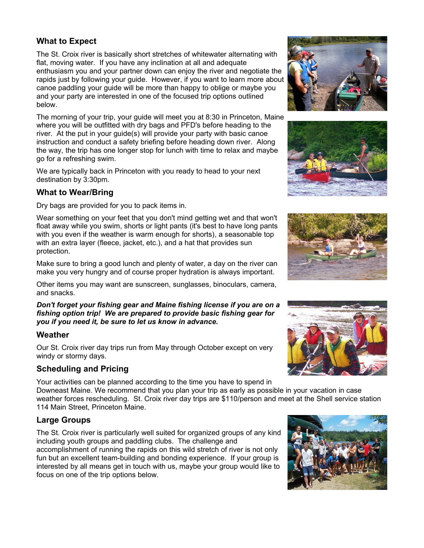#### **What to Expect**

The St. Croix river is basically short stretches of whitewater alternating with flat, moving water. If you have any inclination at all and adequate enthusiasm you and your partner down can enjoy the river and negotiate the rapids just by following your guide. However, if you want to learn more about canoe paddling your guide will be more than happy to oblige or maybe you and your party are interested in one of the focused trip options outlined below.

The morning of your trip, your guide will meet you at 8:30 in Princeton, Maine where you will be outfitted with dry bags and PFD's before heading to the river. At the put in your guide(s) will provide your party with basic canoe instruction and conduct a safety briefing before heading down river. Along the way, the trip has one longer stop for lunch with time to relax and maybe go for a refreshing swim.

We are typically back in Princeton with you ready to head to your next destination by 3:30pm.

## **What to Wear/Bring**

Dry bags are provided for you to pack items in.

Wear something on your feet that you don't mind getting wet and that won't float away while you swim, shorts or light pants (it's best to have long pants with you even if the weather is warm enough for shorts), a seasonable top with an extra layer (fleece, jacket, etc.), and a hat that provides sun protection.

Make sure to bring a good lunch and plenty of water, a day on the river can make you very hungry and of course proper hydration is always important.

Other items you may want are sunscreen, sunglasses, binoculars, camera, and snacks.

*Don't forget your fishing gear and Maine fishing license if you are on a fishing option trip! We are prepared to provide basic fishing gear for you if you need it, be sure to let us know in advance.*

#### **Weather**

Our St. Croix river day trips run from May through October except on very windy or stormy days.

# **Scheduling and Pricing**

Your activities can be planned according to the time you have to spend in Downeast Maine. We recommend that you plan your trip as early as possible in your vacation in case weather forces rescheduling. St. Croix river day trips are \$110/person and meet at the Shell service station 114 Main Street, Princeton Maine.

# **Large Groups**

The St. Croix river is particularly well suited for organized groups of any kind including youth groups and paddling clubs. The challenge and

accomplishment of running the rapids on this wild stretch of river is not only fun but an excellent team-building and bonding experience. If your group is interested by all means get in touch with us, maybe your group would like to focus on one of the trip options below.